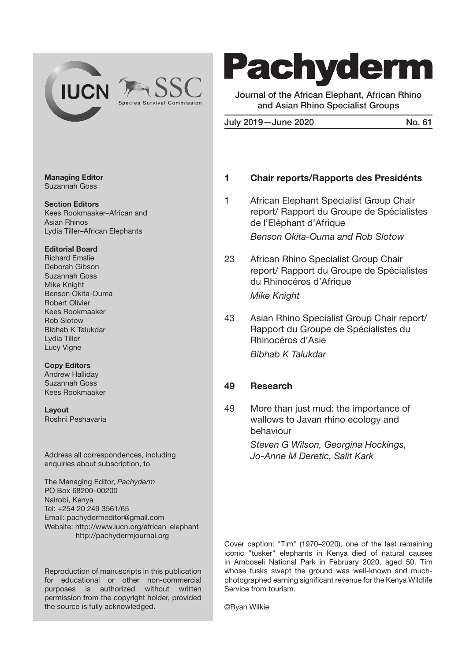

# **Pachyderm**

Journal of the African Elephant, African Rhino and Asian Rhino Specialist Groups

July 2019-June 2020 No. 61

#### Managing Editor Suzannah Goss

Section Editors Kees Rookmaaker–African and Asian Rhinos Lydia Tiller–African Elephants

#### Editorial Board

Richard Emslie Deborah Gibson Suzannah Goss Mike Knight Benson Okita-Ouma Robert Olivier Kees Rookmaaker Rob Slotow Bibhab K Talukdar Lydia Tiller Lucy Vigne

#### Copy Editors

Andrew Halliday Suzannah Goss Kees Rookmaaker

Layout Roshni Peshavaria

Address all correspondences, including enquiries about subscription, to

The Managing Editor, *Pachyderm* PO Box 68200–00200 Nairobi, Kenya Tel: +254 20 249 3561/65 Email: pachydermeditor@gmail.com Website: http://www.iucn.org/african\_elephant http://pachydermjournal.org

Reproduction of manuscripts in this publication for educational or other non-commercial purposes is authorized without written permission from the copyright holder, provided the source is fully acknowledged.

#### 1 Chair reports/Rapports des Presidénts

1 African Elephant Specialist Group Chair report/ Rapport du Groupe de Spécialistes de l'Eléphant d'Afrique *Benson Okita-Ouma and Rob Slotow*

- 23 African Rhino Specialist Group Chair report/ Rapport du Groupe de Spécialistes du Rhinocéros d'Afrique *Mike Knight*
- 43 Asian Rhino Specialist Group Chair report/ Rapport du Groupe de Spécialistes du Rhinocéros d'Asie *Bibhab K Talukdar*

## 49 Research

49 More than just mud: the importance of wallows to Javan rhino ecology and behaviour

> *Steven G Wilson, Georgina Hockings, Jo-Anne M Deretic, Salit Kark*

Cover caption: "Tim" (1970–2020), one of the last remaining iconic "tusker" elephants in Kenya died of natural causes in Amboseli National Park in February 2020, aged 50. Tim whose tusks swept the ground was well-known and muchphotographed earning significant revenue for the Kenya Wildlife Service from tourism.

©Ryan Wilkie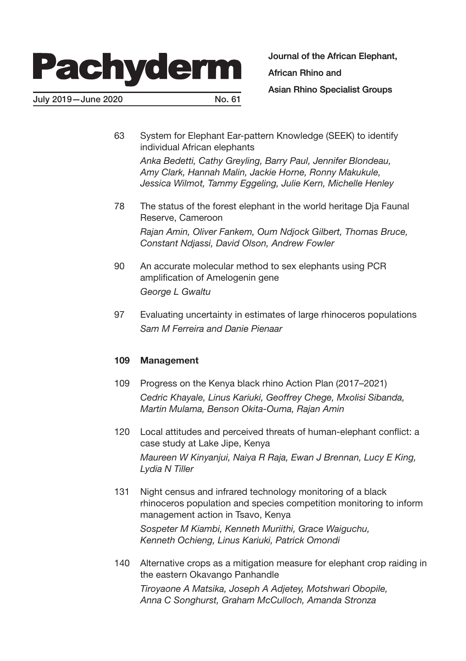# **Pachyderm**

July 2019—June 2020 No. 61

Journal of the African Elephant,

African Rhino and

Asian Rhino Specialist Groups

63 System for Elephant Ear-pattern Knowledge (SEEK) to identify individual African elephants

*Anka Bedetti, Cathy Greyling, Barry Paul, Jennifer Blondeau, Amy Clark, Hannah Malin, Jackie Horne, Ronny Makukule, Jessica Wilmot, Tammy Eggeling, Julie Kern, Michelle Henley*

- 78 The status of the forest elephant in the world heritage Dja Faunal Reserve, Cameroon *Rajan Amin, Oliver Fankem, Oum Ndjock Gilbert, Thomas Bruce, Constant Ndjassi, David Olson, Andrew Fowler*
- 90 An accurate molecular method to sex elephants using PCR amplification of Amelogenin gene *George L Gwaltu*
- 97 Evaluating uncertainty in estimates of large rhinoceros populations *Sam M Ferreira and Danie Pienaar*

## 109 Management

- 109 Progress on the Kenya black rhino Action Plan (2017–2021) *Cedric Khayale, Linus Kariuki, Geoffrey Chege, Mxolisi Sibanda, Martin Mulama, Benson Okita-Ouma, Rajan Amin*
- 120 Local attitudes and perceived threats of human-elephant conflict: a case study at Lake Jipe, Kenya

*Maureen W Kinyanjui, Naiya R Raja, Ewan J Brennan, Lucy E King, Lydia N Tiller*

131 Night census and infrared technology monitoring of a black rhinoceros population and species competition monitoring to inform management action in Tsavo, Kenya

*Sospeter M Kiambi, Kenneth Muriithi, Grace Waiguchu, Kenneth Ochieng, Linus Kariuki, Patrick Omondi*

140 Alternative crops as a mitigation measure for elephant crop raiding in the eastern Okavango Panhandle *Tiroyaone A Matsika, Joseph A Adjetey, Motshwari Obopile, Anna C Songhurst, Graham McCulloch, Amanda Stronza*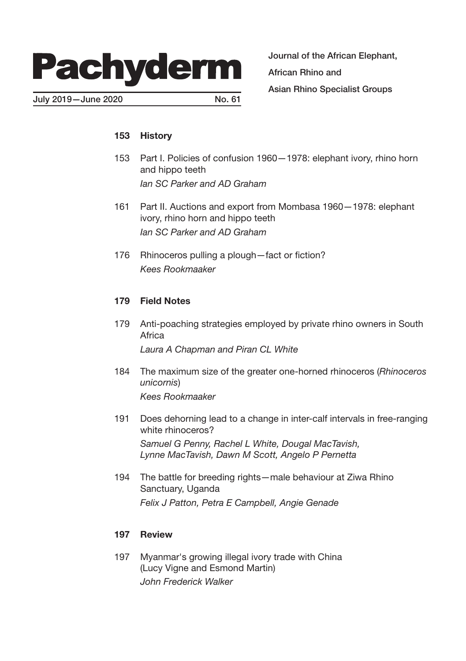

July 2019—June 2020 No. 61

Journal of the African Elephant, African Rhino and Asian Rhino Specialist Groups

## 153 History

- 153 Part I. Policies of confusion 1960—1978: elephant ivory, rhino horn and hippo teeth *Ian SC Parker and AD Graham*
- 161 Part II. Auctions and export from Mombasa 1960—1978: elephant ivory, rhino horn and hippo teeth *Ian SC Parker and AD Graham*
- 176 Rhinoceros pulling a plough—fact or fiction? *Kees Rookmaaker*

#### 179 Field Notes

- 179 Anti-poaching strategies employed by private rhino owners in South Africa *Laura A Chapman and Piran CL White*
- 184 The maximum size of the greater one-horned rhinoceros (*Rhinoceros unicornis*) *Kees Rookmaaker*
- 191 Does dehorning lead to a change in inter-calf intervals in free-ranging white rhinoceros? *Samuel G Penny, Rachel L White, Dougal MacTavish, Lynne MacTavish, Dawn M Scott, Angelo P Pernetta*
- 194 The battle for breeding rights—male behaviour at Ziwa Rhino Sanctuary, Uganda *Felix J Patton, Petra E Campbell, Angie Genade*

#### 197 Review

197 Myanmar's growing illegal ivory trade with China (Lucy Vigne and Esmond Martin) *John Frederick Walker*